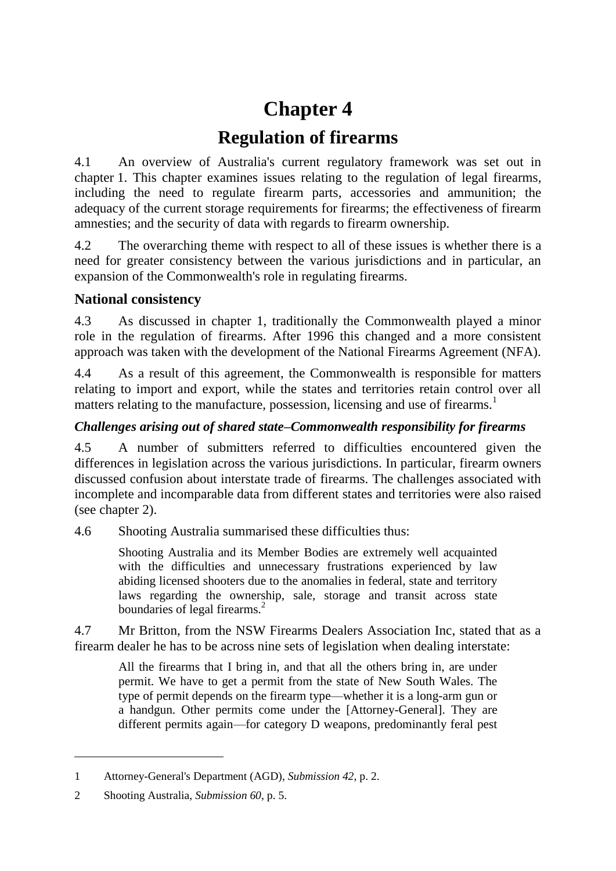# **Chapter 4**

## **Regulation of firearms**

4.1 An overview of Australia's current regulatory framework was set out in chapter 1. This chapter examines issues relating to the regulation of legal firearms, including the need to regulate firearm parts, accessories and ammunition; the adequacy of the current storage requirements for firearms; the effectiveness of firearm amnesties; and the security of data with regards to firearm ownership.

4.2 The overarching theme with respect to all of these issues is whether there is a need for greater consistency between the various jurisdictions and in particular, an expansion of the Commonwealth's role in regulating firearms.

## **National consistency**

4.3 As discussed in chapter 1, traditionally the Commonwealth played a minor role in the regulation of firearms. After 1996 this changed and a more consistent approach was taken with the development of the National Firearms Agreement (NFA).

4.4 As a result of this agreement, the Commonwealth is responsible for matters relating to import and export, while the states and territories retain control over all matters relating to the manufacture, possession, licensing and use of firearms.<sup>1</sup>

## *Challenges arising out of shared state–Commonwealth responsibility for firearms*

4.5 A number of submitters referred to difficulties encountered given the differences in legislation across the various jurisdictions. In particular, firearm owners discussed confusion about interstate trade of firearms. The challenges associated with incomplete and incomparable data from different states and territories were also raised (see chapter 2).

4.6 Shooting Australia summarised these difficulties thus:

Shooting Australia and its Member Bodies are extremely well acquainted with the difficulties and unnecessary frustrations experienced by law abiding licensed shooters due to the anomalies in federal, state and territory laws regarding the ownership, sale, storage and transit across state boundaries of legal firearms.<sup>2</sup>

4.7 Mr Britton, from the NSW Firearms Dealers Association Inc, stated that as a firearm dealer he has to be across nine sets of legislation when dealing interstate:

All the firearms that I bring in, and that all the others bring in, are under permit. We have to get a permit from the state of New South Wales. The type of permit depends on the firearm type—whether it is a long-arm gun or a handgun. Other permits come under the [Attorney-General]. They are different permits again—for category D weapons, predominantly feral pest

<sup>1</sup> Attorney-General's Department (AGD), *Submission 42*, p. 2.

<sup>2</sup> Shooting Australia, *Submission 60*, p. 5.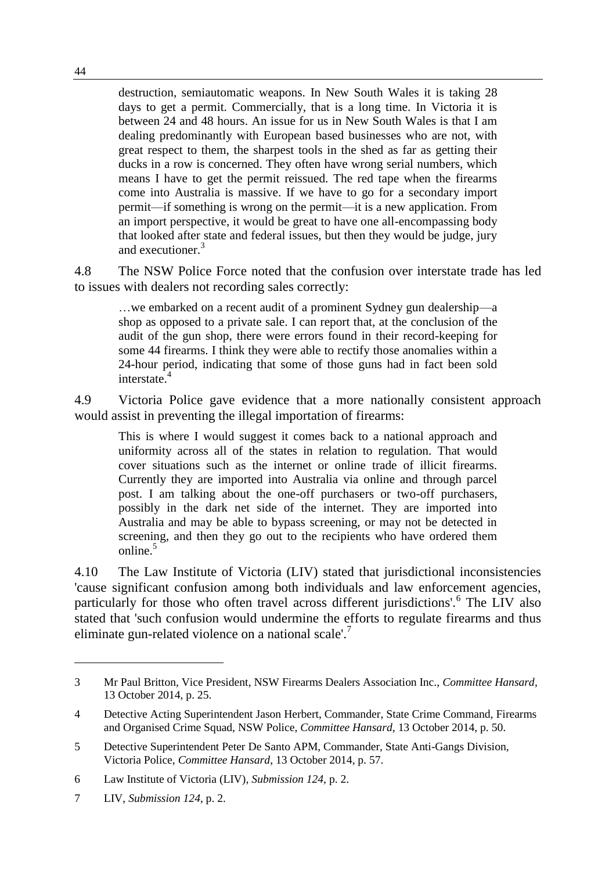destruction, semiautomatic weapons. In New South Wales it is taking 28 days to get a permit. Commercially, that is a long time. In Victoria it is between 24 and 48 hours. An issue for us in New South Wales is that I am dealing predominantly with European based businesses who are not, with great respect to them, the sharpest tools in the shed as far as getting their ducks in a row is concerned. They often have wrong serial numbers, which means I have to get the permit reissued. The red tape when the firearms come into Australia is massive. If we have to go for a secondary import permit—if something is wrong on the permit—it is a new application. From an import perspective, it would be great to have one all-encompassing body that looked after state and federal issues, but then they would be judge, jury and executioner.<sup>3</sup>

4.8 The NSW Police Force noted that the confusion over interstate trade has led to issues with dealers not recording sales correctly:

…we embarked on a recent audit of a prominent Sydney gun dealership—a shop as opposed to a private sale. I can report that, at the conclusion of the audit of the gun shop, there were errors found in their record-keeping for some 44 firearms. I think they were able to rectify those anomalies within a 24-hour period, indicating that some of those guns had in fact been sold interstate.<sup>4</sup>

4.9 Victoria Police gave evidence that a more nationally consistent approach would assist in preventing the illegal importation of firearms:

This is where I would suggest it comes back to a national approach and uniformity across all of the states in relation to regulation. That would cover situations such as the internet or online trade of illicit firearms. Currently they are imported into Australia via online and through parcel post. I am talking about the one-off purchasers or two-off purchasers, possibly in the dark net side of the internet. They are imported into Australia and may be able to bypass screening, or may not be detected in screening, and then they go out to the recipients who have ordered them online $^5$ 

4.10 The Law Institute of Victoria (LIV) stated that jurisdictional inconsistencies 'cause significant confusion among both individuals and law enforcement agencies, particularly for those who often travel across different jurisdictions'.<sup>6</sup> The LIV also stated that 'such confusion would undermine the efforts to regulate firearms and thus eliminate gun-related violence on a national scale'.<sup>7</sup>

<sup>3</sup> Mr Paul Britton, Vice President, NSW Firearms Dealers Association Inc., *Committee Hansard*, 13 October 2014, p. 25.

<sup>4</sup> Detective Acting Superintendent Jason Herbert, Commander, State Crime Command, Firearms and Organised Crime Squad, NSW Police, *Committee Hansard*, 13 October 2014, p. 50.

<sup>5</sup> Detective Superintendent Peter De Santo APM, Commander, State Anti-Gangs Division, Victoria Police, *Committee Hansard*, 13 October 2014, p. 57.

<sup>6</sup> Law Institute of Victoria (LIV), *Submission 124*, p. 2.

<sup>7</sup> LIV, *Submission 124*, p. 2.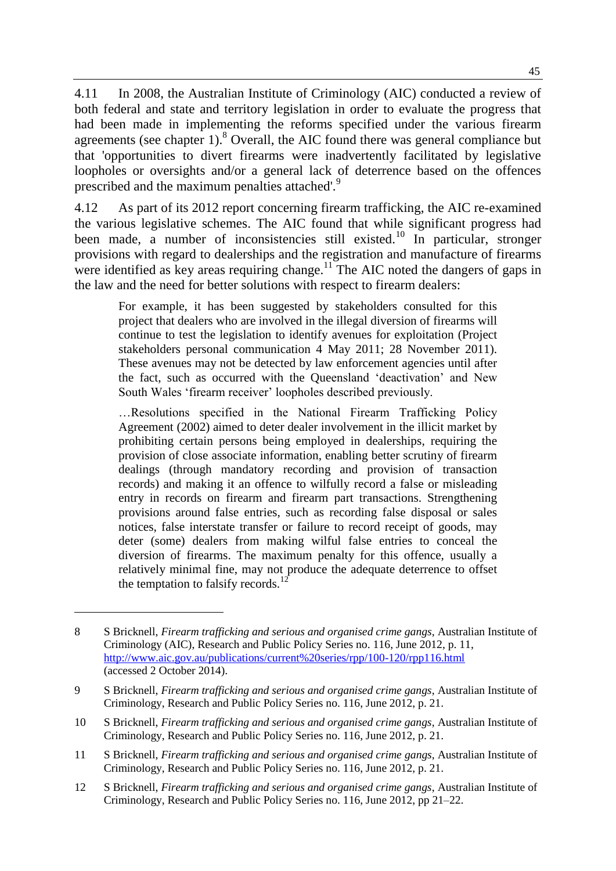4.11 In 2008, the Australian Institute of Criminology (AIC) conducted a review of both federal and state and territory legislation in order to evaluate the progress that had been made in implementing the reforms specified under the various firearm agreements (see chapter 1).<sup>8</sup> Overall, the AIC found there was general compliance but that 'opportunities to divert firearms were inadvertently facilitated by legislative loopholes or oversights and/or a general lack of deterrence based on the offences prescribed and the maximum penalties attached'.<sup>9</sup>

4.12 As part of its 2012 report concerning firearm trafficking, the AIC re-examined the various legislative schemes. The AIC found that while significant progress had been made, a number of inconsistencies still existed.<sup>10</sup> In particular, stronger provisions with regard to dealerships and the registration and manufacture of firearms were identified as key areas requiring change.<sup>11</sup> The AIC noted the dangers of gaps in the law and the need for better solutions with respect to firearm dealers:

For example, it has been suggested by stakeholders consulted for this project that dealers who are involved in the illegal diversion of firearms will continue to test the legislation to identify avenues for exploitation (Project stakeholders personal communication 4 May 2011; 28 November 2011). These avenues may not be detected by law enforcement agencies until after the fact, such as occurred with the Queensland 'deactivation' and New South Wales 'firearm receiver' loopholes described previously.

…Resolutions specified in the National Firearm Trafficking Policy Agreement (2002) aimed to deter dealer involvement in the illicit market by prohibiting certain persons being employed in dealerships, requiring the provision of close associate information, enabling better scrutiny of firearm dealings (through mandatory recording and provision of transaction records) and making it an offence to wilfully record a false or misleading entry in records on firearm and firearm part transactions. Strengthening provisions around false entries, such as recording false disposal or sales notices, false interstate transfer or failure to record receipt of goods, may deter (some) dealers from making wilful false entries to conceal the diversion of firearms. The maximum penalty for this offence, usually a relatively minimal fine, may not produce the adequate deterrence to offset the temptation to falsify records.<sup>12</sup>

 $\overline{a}$ 

12 S Bricknell, *Firearm trafficking and serious and organised crime gangs*, Australian Institute of Criminology, Research and Public Policy Series no. 116, June 2012, pp 21–22.

<sup>8</sup> S Bricknell, *Firearm trafficking and serious and organised crime gangs*, Australian Institute of Criminology (AIC), Research and Public Policy Series no. 116, June 2012, p. 11, <http://www.aic.gov.au/publications/current%20series/rpp/100-120/rpp116.html> (accessed 2 October 2014).

<sup>9</sup> S Bricknell, *Firearm trafficking and serious and organised crime gangs*, Australian Institute of Criminology, Research and Public Policy Series no. 116, June 2012, p. 21.

<sup>10</sup> S Bricknell, *Firearm trafficking and serious and organised crime gangs*, Australian Institute of Criminology, Research and Public Policy Series no. 116, June 2012, p. 21.

<sup>11</sup> S Bricknell, *Firearm trafficking and serious and organised crime gangs*, Australian Institute of Criminology, Research and Public Policy Series no. 116, June 2012, p. 21.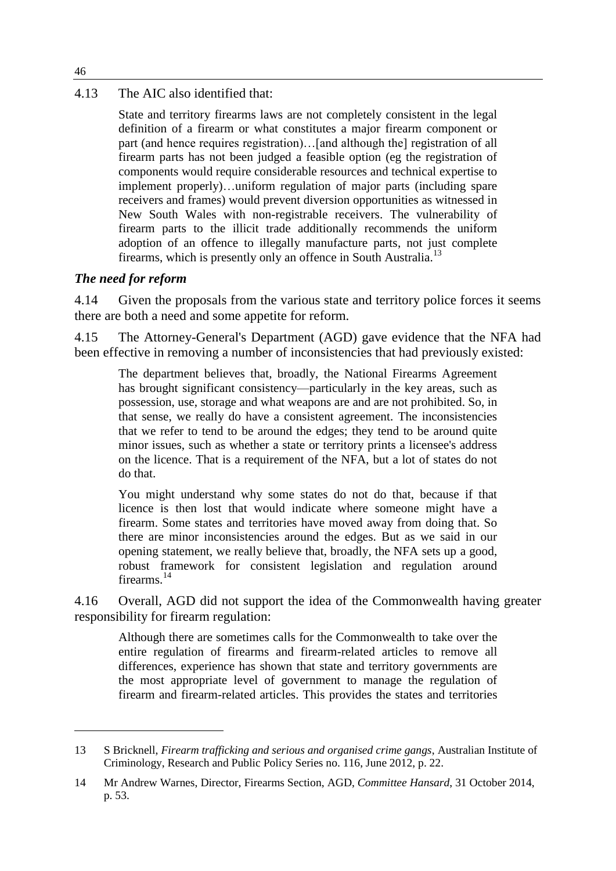#### 4.13 The AIC also identified that:

State and territory firearms laws are not completely consistent in the legal definition of a firearm or what constitutes a major firearm component or part (and hence requires registration)…[and although the] registration of all firearm parts has not been judged a feasible option (eg the registration of components would require considerable resources and technical expertise to implement properly)…uniform regulation of major parts (including spare receivers and frames) would prevent diversion opportunities as witnessed in New South Wales with non-registrable receivers. The vulnerability of firearm parts to the illicit trade additionally recommends the uniform adoption of an offence to illegally manufacture parts, not just complete firearms, which is presently only an offence in South Australia.<sup>13</sup>

#### *The need for reform*

4.14 Given the proposals from the various state and territory police forces it seems there are both a need and some appetite for reform.

4.15 The Attorney-General's Department (AGD) gave evidence that the NFA had been effective in removing a number of inconsistencies that had previously existed:

The department believes that, broadly, the National Firearms Agreement has brought significant consistency—particularly in the key areas, such as possession, use, storage and what weapons are and are not prohibited. So, in that sense, we really do have a consistent agreement. The inconsistencies that we refer to tend to be around the edges; they tend to be around quite minor issues, such as whether a state or territory prints a licensee's address on the licence. That is a requirement of the NFA, but a lot of states do not do that.

You might understand why some states do not do that, because if that licence is then lost that would indicate where someone might have a firearm. Some states and territories have moved away from doing that. So there are minor inconsistencies around the edges. But as we said in our opening statement, we really believe that, broadly, the NFA sets up a good, robust framework for consistent legislation and regulation around firearms.<sup>14</sup>

4.16 Overall, AGD did not support the idea of the Commonwealth having greater responsibility for firearm regulation:

Although there are sometimes calls for the Commonwealth to take over the entire regulation of firearms and firearm-related articles to remove all differences, experience has shown that state and territory governments are the most appropriate level of government to manage the regulation of firearm and firearm-related articles. This provides the states and territories

46

<sup>13</sup> S Bricknell, *Firearm trafficking and serious and organised crime gangs*, Australian Institute of Criminology, Research and Public Policy Series no. 116, June 2012, p. 22.

<sup>14</sup> Mr Andrew Warnes, Director, Firearms Section, AGD, *Committee Hansard*, 31 October 2014, p. 53.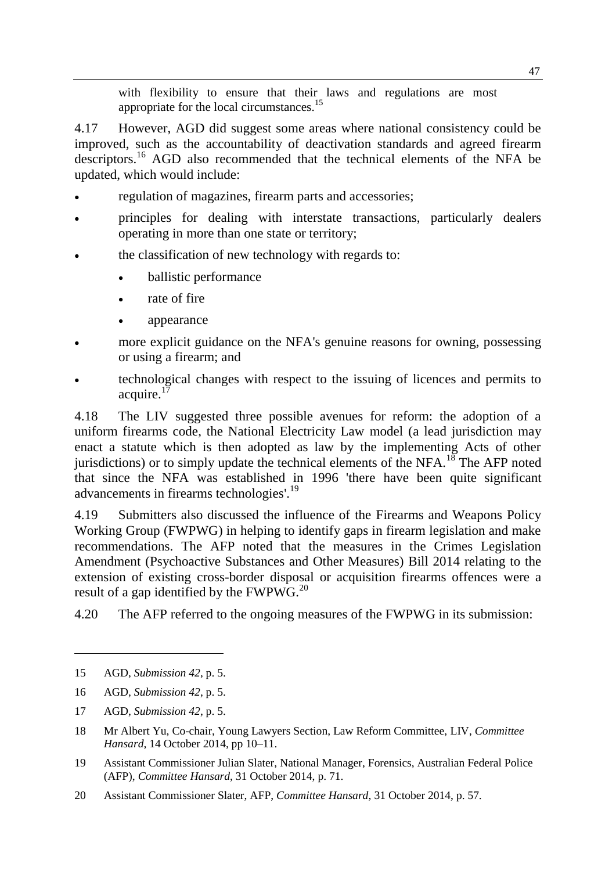with flexibility to ensure that their laws and regulations are most appropriate for the local circumstances.<sup>15</sup>

4.17 However, AGD did suggest some areas where national consistency could be improved, such as the accountability of deactivation standards and agreed firearm descriptors.<sup>16</sup> AGD also recommended that the technical elements of the NFA be updated, which would include:

- regulation of magazines, firearm parts and accessories;
- principles for dealing with interstate transactions, particularly dealers operating in more than one state or territory;
- the classification of new technology with regards to:
	- ballistic performance
	- rate of fire
	- appearance
- more explicit guidance on the NFA's genuine reasons for owning, possessing or using a firearm; and
- technological changes with respect to the issuing of licences and permits to acquire. $17$

4.18 The LIV suggested three possible avenues for reform: the adoption of a uniform firearms code, the National Electricity Law model (a lead jurisdiction may enact a statute which is then adopted as law by the implementing Acts of other jurisdictions) or to simply update the technical elements of the NFA.<sup>18</sup> The AFP noted that since the NFA was established in 1996 'there have been quite significant advancements in firearms technologies'.<sup>19</sup>

4.19 Submitters also discussed the influence of the Firearms and Weapons Policy Working Group (FWPWG) in helping to identify gaps in firearm legislation and make recommendations. The AFP noted that the measures in the Crimes Legislation Amendment (Psychoactive Substances and Other Measures) Bill 2014 relating to the extension of existing cross-border disposal or acquisition firearms offences were a result of a gap identified by the  $FWPWG.<sup>20</sup>$ 

4.20 The AFP referred to the ongoing measures of the FWPWG in its submission:

<sup>15</sup> AGD, *Submission 42*, p. 5.

<sup>16</sup> AGD, *Submission 42*, p. 5.

<sup>17</sup> AGD, *Submission 42*, p. 5.

<sup>18</sup> Mr Albert Yu, Co-chair, Young Lawyers Section, Law Reform Committee, LIV, *Committee Hansard*, 14 October 2014, pp 10–11.

<sup>19</sup> Assistant Commissioner Julian Slater, National Manager, Forensics, Australian Federal Police (AFP), *Committee Hansard*, 31 October 2014, p. 71.

<sup>20</sup> Assistant Commissioner Slater, AFP, *Committee Hansard*, 31 October 2014, p. 57.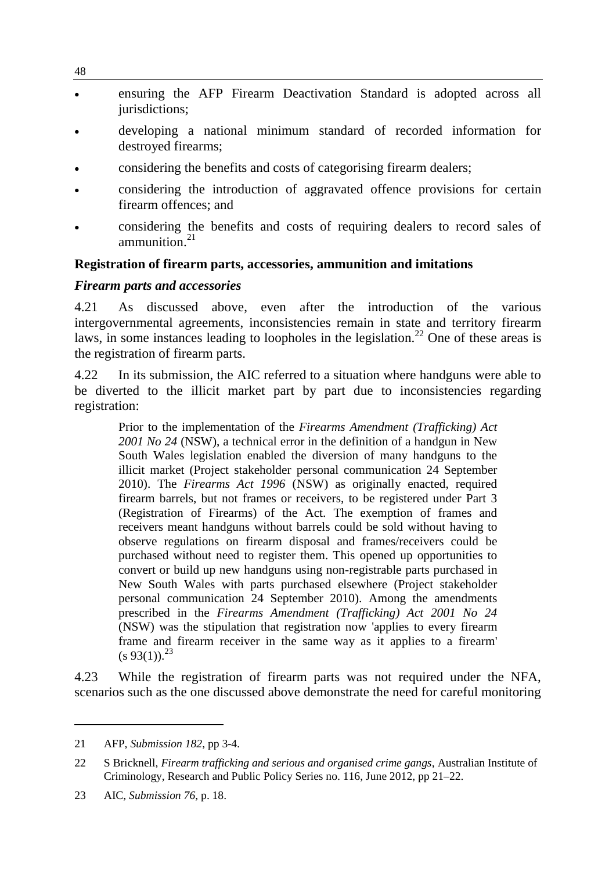- ensuring the AFP Firearm Deactivation Standard is adopted across all jurisdictions:
- developing a national minimum standard of recorded information for destroyed firearms;
- considering the benefits and costs of categorising firearm dealers;
- considering the introduction of aggravated offence provisions for certain firearm offences; and
- considering the benefits and costs of requiring dealers to record sales of ammunition $^{21}$

#### **Registration of firearm parts, accessories, ammunition and imitations**

#### *Firearm parts and accessories*

4.21 As discussed above, even after the introduction of the various intergovernmental agreements, inconsistencies remain in state and territory firearm laws, in some instances leading to loopholes in the legislation.<sup>22</sup> One of these areas is the registration of firearm parts.

4.22 In its submission, the AIC referred to a situation where handguns were able to be diverted to the illicit market part by part due to inconsistencies regarding registration:

Prior to the implementation of the *Firearms Amendment (Trafficking) Act 2001 No 24* (NSW), a technical error in the definition of a handgun in New South Wales legislation enabled the diversion of many handguns to the illicit market (Project stakeholder personal communication 24 September 2010). The *Firearms Act 1996* (NSW) as originally enacted, required firearm barrels, but not frames or receivers, to be registered under Part 3 (Registration of Firearms) of the Act. The exemption of frames and receivers meant handguns without barrels could be sold without having to observe regulations on firearm disposal and frames/receivers could be purchased without need to register them. This opened up opportunities to convert or build up new handguns using non-registrable parts purchased in New South Wales with parts purchased elsewhere (Project stakeholder personal communication 24 September 2010). Among the amendments prescribed in the *Firearms Amendment (Trafficking) Act 2001 No 24*  (NSW) was the stipulation that registration now 'applies to every firearm frame and firearm receiver in the same way as it applies to a firearm'  $(s 93(1))$ .<sup>23</sup>

4.23 While the registration of firearm parts was not required under the NFA, scenarios such as the one discussed above demonstrate the need for careful monitoring

<sup>21</sup> AFP, *Submission 182*, pp 3-4.

<sup>22</sup> S Bricknell, *Firearm trafficking and serious and organised crime gangs*, Australian Institute of Criminology, Research and Public Policy Series no. 116, June 2012, pp 21–22.

<sup>23</sup> AIC, *Submission 76*, p. 18.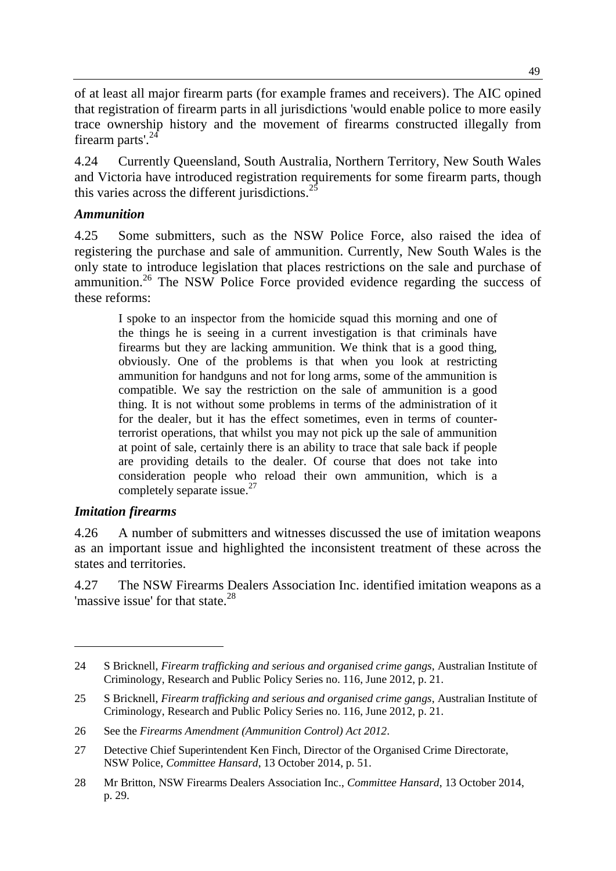of at least all major firearm parts (for example frames and receivers). The AIC opined that registration of firearm parts in all jurisdictions 'would enable police to more easily trace ownership history and the movement of firearms constructed illegally from firearm parts'.<sup>24</sup>

4.24 Currently Queensland, South Australia, Northern Territory, New South Wales and Victoria have introduced registration requirements for some firearm parts, though this varies across the different jurisdictions.<sup>25</sup>

#### *Ammunition*

4.25 Some submitters, such as the NSW Police Force, also raised the idea of registering the purchase and sale of ammunition. Currently, New South Wales is the only state to introduce legislation that places restrictions on the sale and purchase of ammunition.<sup>26</sup> The NSW Police Force provided evidence regarding the success of these reforms:

I spoke to an inspector from the homicide squad this morning and one of the things he is seeing in a current investigation is that criminals have firearms but they are lacking ammunition. We think that is a good thing, obviously. One of the problems is that when you look at restricting ammunition for handguns and not for long arms, some of the ammunition is compatible. We say the restriction on the sale of ammunition is a good thing. It is not without some problems in terms of the administration of it for the dealer, but it has the effect sometimes, even in terms of counterterrorist operations, that whilst you may not pick up the sale of ammunition at point of sale, certainly there is an ability to trace that sale back if people are providing details to the dealer. Of course that does not take into consideration people who reload their own ammunition, which is a completely separate issue.<sup>27</sup>

#### *Imitation firearms*

 $\overline{a}$ 

4.26 A number of submitters and witnesses discussed the use of imitation weapons as an important issue and highlighted the inconsistent treatment of these across the states and territories.

4.27 The NSW Firearms Dealers Association Inc. identified imitation weapons as a 'massive issue' for that state. $^{28}$ 

<sup>24</sup> S Bricknell, *Firearm trafficking and serious and organised crime gangs*, Australian Institute of Criminology, Research and Public Policy Series no. 116, June 2012, p. 21.

<sup>25</sup> S Bricknell, *Firearm trafficking and serious and organised crime gangs*, Australian Institute of Criminology, Research and Public Policy Series no. 116, June 2012, p. 21.

<sup>26</sup> See the *Firearms Amendment (Ammunition Control) Act 2012*.

<sup>27</sup> Detective Chief Superintendent Ken Finch, Director of the Organised Crime Directorate, NSW Police, *Committee Hansard*, 13 October 2014, p. 51.

<sup>28</sup> Mr Britton, NSW Firearms Dealers Association Inc., *Committee Hansard*, 13 October 2014, p. 29.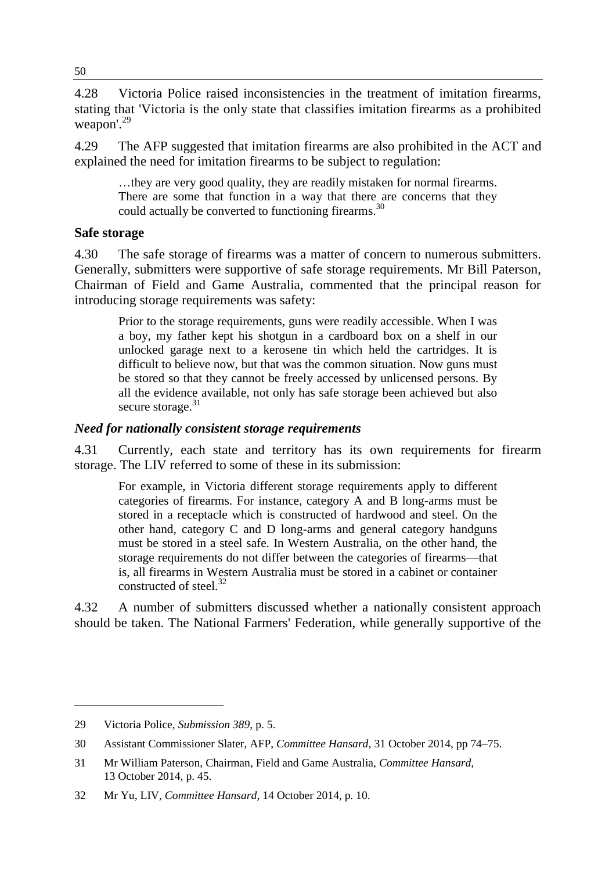4.28 Victoria Police raised inconsistencies in the treatment of imitation firearms, stating that 'Victoria is the only state that classifies imitation firearms as a prohibited weapon'<sup>29</sup>

4.29 The AFP suggested that imitation firearms are also prohibited in the ACT and explained the need for imitation firearms to be subject to regulation:

…they are very good quality, they are readily mistaken for normal firearms. There are some that function in a way that there are concerns that they could actually be converted to functioning firearms.<sup>30</sup>

#### **Safe storage**

4.30 The safe storage of firearms was a matter of concern to numerous submitters. Generally, submitters were supportive of safe storage requirements. Mr Bill Paterson, Chairman of Field and Game Australia, commented that the principal reason for introducing storage requirements was safety:

Prior to the storage requirements, guns were readily accessible. When I was a boy, my father kept his shotgun in a cardboard box on a shelf in our unlocked garage next to a kerosene tin which held the cartridges. It is difficult to believe now, but that was the common situation. Now guns must be stored so that they cannot be freely accessed by unlicensed persons. By all the evidence available, not only has safe storage been achieved but also secure storage.<sup>31</sup>

#### *Need for nationally consistent storage requirements*

4.31 Currently, each state and territory has its own requirements for firearm storage. The LIV referred to some of these in its submission:

For example, in Victoria different storage requirements apply to different categories of firearms. For instance, category A and B long-arms must be stored in a receptacle which is constructed of hardwood and steel. On the other hand, category C and D long-arms and general category handguns must be stored in a steel safe. In Western Australia, on the other hand, the storage requirements do not differ between the categories of firearms—that is, all firearms in Western Australia must be stored in a cabinet or container constructed of steel.<sup>32</sup>

4.32 A number of submitters discussed whether a nationally consistent approach should be taken. The National Farmers' Federation, while generally supportive of the

<sup>29</sup> Victoria Police, *Submission 389*, p. 5.

<sup>30</sup> Assistant Commissioner Slater, AFP, *Committee Hansard*, 31 October 2014, pp 74–75.

<sup>31</sup> Mr William Paterson, Chairman, Field and Game Australia, *Committee Hansard*, 13 October 2014, p. 45.

<sup>32</sup> Mr Yu, LIV, *Committee Hansard*, 14 October 2014, p. 10.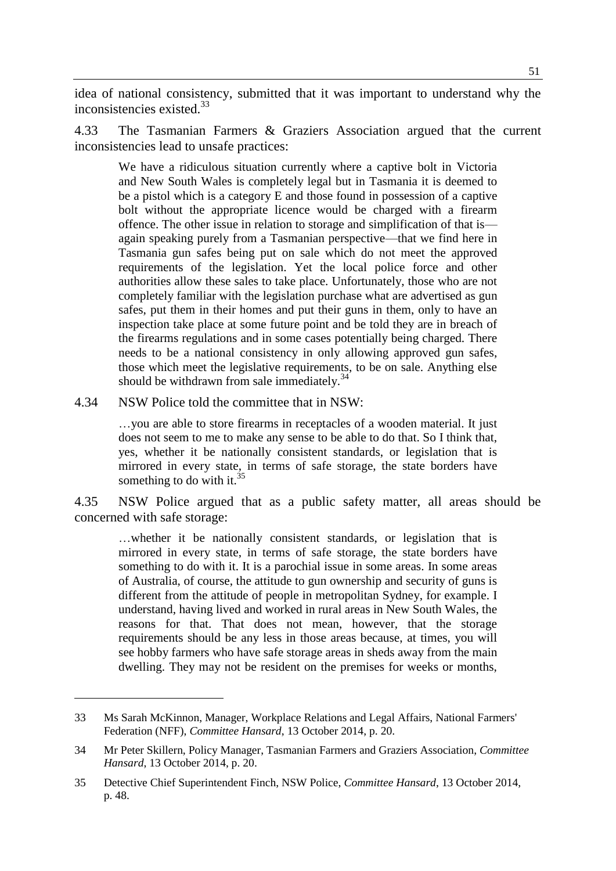idea of national consistency, submitted that it was important to understand why the inconsistencies existed.<sup>33</sup>

4.33 The Tasmanian Farmers & Graziers Association argued that the current inconsistencies lead to unsafe practices:

We have a ridiculous situation currently where a captive bolt in Victoria and New South Wales is completely legal but in Tasmania it is deemed to be a pistol which is a category E and those found in possession of a captive bolt without the appropriate licence would be charged with a firearm offence. The other issue in relation to storage and simplification of that is again speaking purely from a Tasmanian perspective—that we find here in Tasmania gun safes being put on sale which do not meet the approved requirements of the legislation. Yet the local police force and other authorities allow these sales to take place. Unfortunately, those who are not completely familiar with the legislation purchase what are advertised as gun safes, put them in their homes and put their guns in them, only to have an inspection take place at some future point and be told they are in breach of the firearms regulations and in some cases potentially being charged. There needs to be a national consistency in only allowing approved gun safes, those which meet the legislative requirements, to be on sale. Anything else should be withdrawn from sale immediately.<sup>34</sup>

4.34 NSW Police told the committee that in NSW:

 $\overline{a}$ 

…you are able to store firearms in receptacles of a wooden material. It just does not seem to me to make any sense to be able to do that. So I think that, yes, whether it be nationally consistent standards, or legislation that is mirrored in every state, in terms of safe storage, the state borders have something to do with it. $35$ 

4.35 NSW Police argued that as a public safety matter, all areas should be concerned with safe storage:

…whether it be nationally consistent standards, or legislation that is mirrored in every state, in terms of safe storage, the state borders have something to do with it. It is a parochial issue in some areas. In some areas of Australia, of course, the attitude to gun ownership and security of guns is different from the attitude of people in metropolitan Sydney, for example. I understand, having lived and worked in rural areas in New South Wales, the reasons for that. That does not mean, however, that the storage requirements should be any less in those areas because, at times, you will see hobby farmers who have safe storage areas in sheds away from the main dwelling. They may not be resident on the premises for weeks or months,

<sup>33</sup> Ms Sarah McKinnon, Manager, Workplace Relations and Legal Affairs, National Farmers' Federation (NFF), *Committee Hansard*, 13 October 2014, p. 20.

<sup>34</sup> Mr Peter Skillern, Policy Manager, Tasmanian Farmers and Graziers Association, *Committee Hansard*, 13 October 2014, p. 20.

<sup>35</sup> Detective Chief Superintendent Finch, NSW Police, *Committee Hansard*, 13 October 2014, p. 48.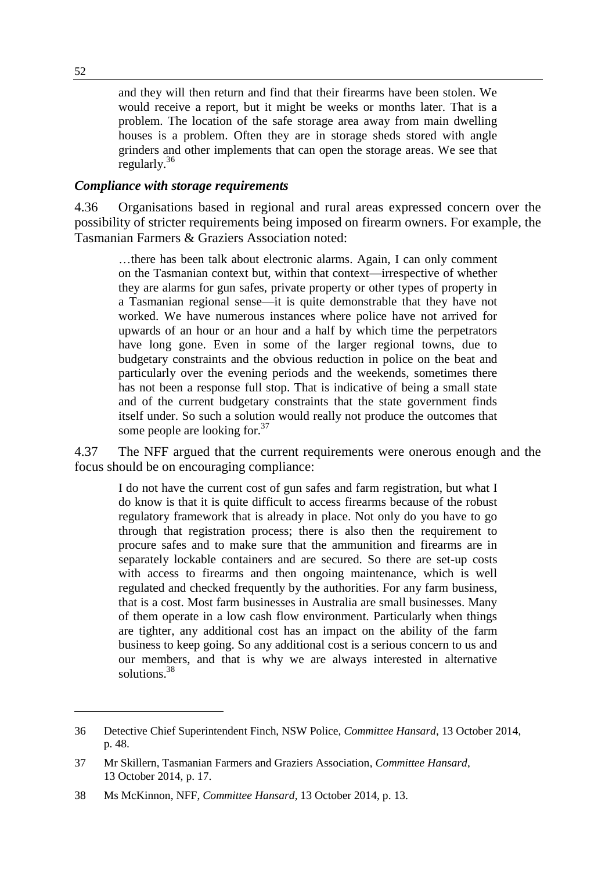and they will then return and find that their firearms have been stolen. We would receive a report, but it might be weeks or months later. That is a problem. The location of the safe storage area away from main dwelling houses is a problem. Often they are in storage sheds stored with angle grinders and other implements that can open the storage areas. We see that regularly.<sup>36</sup>

#### *Compliance with storage requirements*

4.36 Organisations based in regional and rural areas expressed concern over the possibility of stricter requirements being imposed on firearm owners. For example, the Tasmanian Farmers & Graziers Association noted:

…there has been talk about electronic alarms. Again, I can only comment on the Tasmanian context but, within that context—irrespective of whether they are alarms for gun safes, private property or other types of property in a Tasmanian regional sense—it is quite demonstrable that they have not worked. We have numerous instances where police have not arrived for upwards of an hour or an hour and a half by which time the perpetrators have long gone. Even in some of the larger regional towns, due to budgetary constraints and the obvious reduction in police on the beat and particularly over the evening periods and the weekends, sometimes there has not been a response full stop. That is indicative of being a small state and of the current budgetary constraints that the state government finds itself under. So such a solution would really not produce the outcomes that some people are looking for.<sup>37</sup>

4.37 The NFF argued that the current requirements were onerous enough and the focus should be on encouraging compliance:

I do not have the current cost of gun safes and farm registration, but what I do know is that it is quite difficult to access firearms because of the robust regulatory framework that is already in place. Not only do you have to go through that registration process; there is also then the requirement to procure safes and to make sure that the ammunition and firearms are in separately lockable containers and are secured. So there are set-up costs with access to firearms and then ongoing maintenance, which is well regulated and checked frequently by the authorities. For any farm business, that is a cost. Most farm businesses in Australia are small businesses. Many of them operate in a low cash flow environment. Particularly when things are tighter, any additional cost has an impact on the ability of the farm business to keep going. So any additional cost is a serious concern to us and our members, and that is why we are always interested in alternative solutions.<sup>38</sup>

<sup>36</sup> Detective Chief Superintendent Finch, NSW Police, *Committee Hansard*, 13 October 2014, p. 48.

<sup>37</sup> Mr Skillern, Tasmanian Farmers and Graziers Association, *Committee Hansard*, 13 October 2014, p. 17.

<sup>38</sup> Ms McKinnon, NFF, *Committee Hansard*, 13 October 2014, p. 13.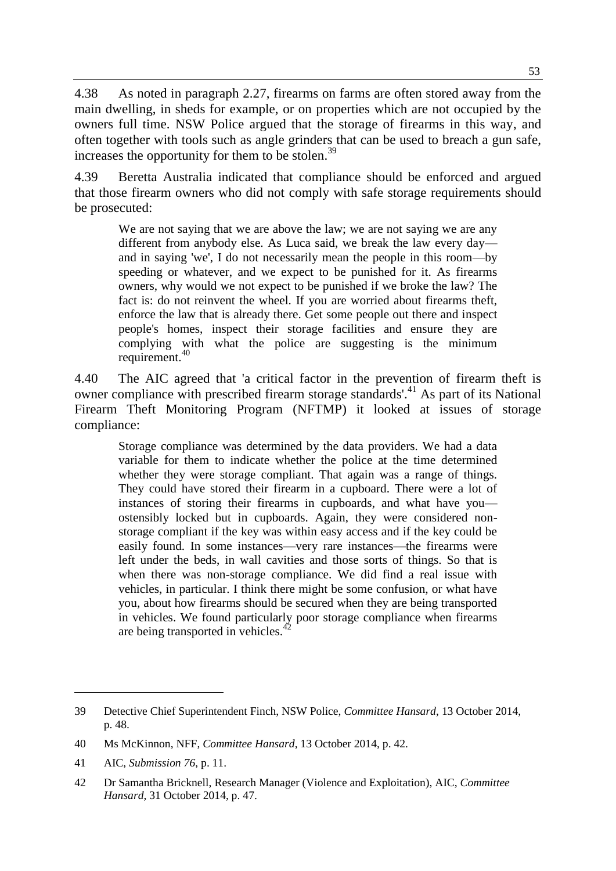4.38 As noted in paragraph 2.27, firearms on farms are often stored away from the main dwelling, in sheds for example, or on properties which are not occupied by the owners full time. NSW Police argued that the storage of firearms in this way, and often together with tools such as angle grinders that can be used to breach a gun safe, increases the opportunity for them to be stolen.<sup>39</sup>

4.39 Beretta Australia indicated that compliance should be enforced and argued that those firearm owners who did not comply with safe storage requirements should be prosecuted:

We are not saying that we are above the law; we are not saying we are any different from anybody else. As Luca said, we break the law every day and in saying 'we', I do not necessarily mean the people in this room—by speeding or whatever, and we expect to be punished for it. As firearms owners, why would we not expect to be punished if we broke the law? The fact is: do not reinvent the wheel. If you are worried about firearms theft, enforce the law that is already there. Get some people out there and inspect people's homes, inspect their storage facilities and ensure they are complying with what the police are suggesting is the minimum requirement.<sup>40</sup>

4.40 The AIC agreed that 'a critical factor in the prevention of firearm theft is owner compliance with prescribed firearm storage standards'.<sup>41</sup> As part of its National Firearm Theft Monitoring Program (NFTMP) it looked at issues of storage compliance:

Storage compliance was determined by the data providers. We had a data variable for them to indicate whether the police at the time determined whether they were storage compliant. That again was a range of things. They could have stored their firearm in a cupboard. There were a lot of instances of storing their firearms in cupboards, and what have you ostensibly locked but in cupboards. Again, they were considered nonstorage compliant if the key was within easy access and if the key could be easily found. In some instances—very rare instances—the firearms were left under the beds, in wall cavities and those sorts of things. So that is when there was non-storage compliance. We did find a real issue with vehicles, in particular. I think there might be some confusion, or what have you, about how firearms should be secured when they are being transported in vehicles. We found particularly poor storage compliance when firearms are being transported in vehicles.<sup>42</sup>

<sup>39</sup> Detective Chief Superintendent Finch, NSW Police, *Committee Hansard*, 13 October 2014, p. 48.

<sup>40</sup> Ms McKinnon, NFF, *Committee Hansard*, 13 October 2014, p. 42.

<sup>41</sup> AIC, *Submission 76*, p. 11.

<sup>42</sup> Dr Samantha Bricknell, Research Manager (Violence and Exploitation), AIC, *Committee Hansard*, 31 October 2014, p. 47.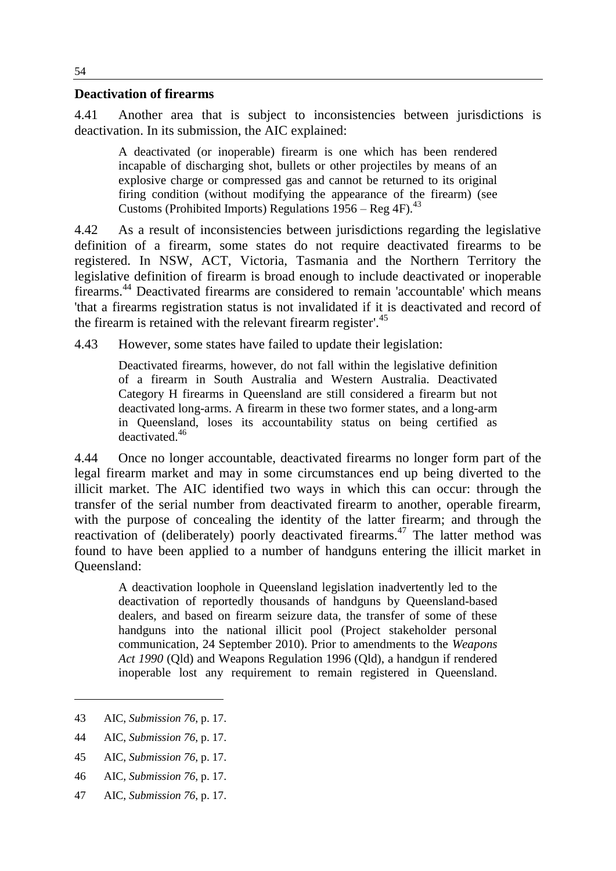#### **Deactivation of firearms**

4.41 Another area that is subject to inconsistencies between jurisdictions is deactivation. In its submission, the AIC explained:

A deactivated (or inoperable) firearm is one which has been rendered incapable of discharging shot, bullets or other projectiles by means of an explosive charge or compressed gas and cannot be returned to its original firing condition (without modifying the appearance of the firearm) (see Customs (Prohibited Imports) Regulations 1956 – Reg 4F). 43

4.42 As a result of inconsistencies between jurisdictions regarding the legislative definition of a firearm, some states do not require deactivated firearms to be registered. In NSW, ACT, Victoria, Tasmania and the Northern Territory the legislative definition of firearm is broad enough to include deactivated or inoperable firearms. <sup>44</sup> Deactivated firearms are considered to remain 'accountable' which means 'that a firearms registration status is not invalidated if it is deactivated and record of the firearm is retained with the relevant firearm register'.<sup>45</sup>

4.43 However, some states have failed to update their legislation:

Deactivated firearms, however, do not fall within the legislative definition of a firearm in South Australia and Western Australia. Deactivated Category H firearms in Queensland are still considered a firearm but not deactivated long-arms. A firearm in these two former states, and a long-arm in Queensland, loses its accountability status on being certified as deactivated 46

4.44 Once no longer accountable, deactivated firearms no longer form part of the legal firearm market and may in some circumstances end up being diverted to the illicit market. The AIC identified two ways in which this can occur: through the transfer of the serial number from deactivated firearm to another, operable firearm, with the purpose of concealing the identity of the latter firearm; and through the reactivation of (deliberately) poorly deactivated firearms.<sup>47</sup> The latter method was found to have been applied to a number of handguns entering the illicit market in Queensland:

A deactivation loophole in Queensland legislation inadvertently led to the deactivation of reportedly thousands of handguns by Queensland-based dealers, and based on firearm seizure data, the transfer of some of these handguns into the national illicit pool (Project stakeholder personal communication, 24 September 2010). Prior to amendments to the *Weapons Act 1990* (Qld) and Weapons Regulation 1996 (Qld), a handgun if rendered inoperable lost any requirement to remain registered in Queensland.

<sup>43</sup> AIC, *Submission 76*, p. 17.

<sup>44</sup> AIC, *Submission 76*, p. 17.

<sup>45</sup> AIC, *Submission 76*, p. 17.

<sup>46</sup> AIC, *Submission 76*, p. 17.

<sup>47</sup> AIC, *Submission 76*, p. 17.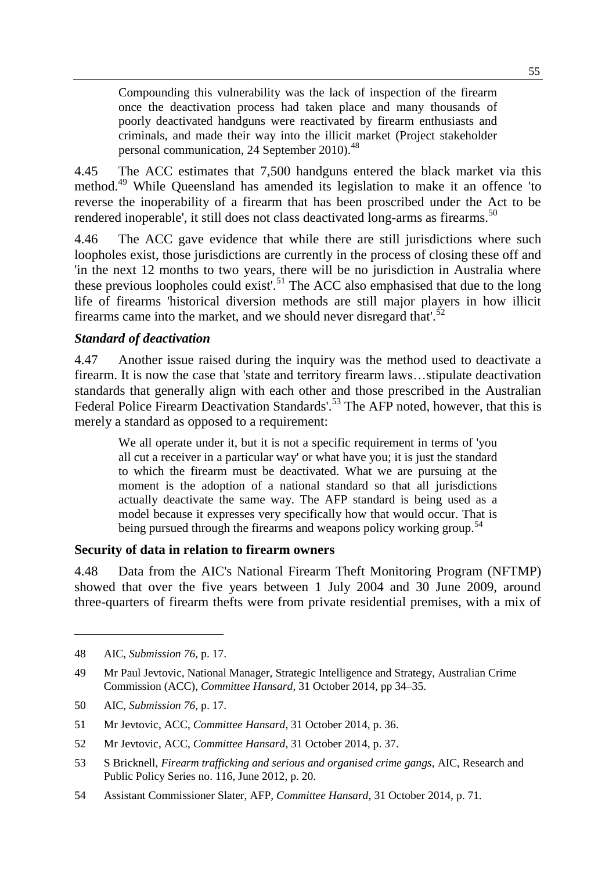Compounding this vulnerability was the lack of inspection of the firearm once the deactivation process had taken place and many thousands of poorly deactivated handguns were reactivated by firearm enthusiasts and criminals, and made their way into the illicit market (Project stakeholder personal communication, 24 September 2010).<sup>48</sup>

4.45 The ACC estimates that 7,500 handguns entered the black market via this method.<sup>49</sup> While Queensland has amended its legislation to make it an offence 'to reverse the inoperability of a firearm that has been proscribed under the Act to be rendered inoperable', it still does not class deactivated long-arms as firearms.<sup>50</sup>

4.46 The ACC gave evidence that while there are still jurisdictions where such loopholes exist, those jurisdictions are currently in the process of closing these off and 'in the next 12 months to two years, there will be no jurisdiction in Australia where these previous loopholes could exist'.<sup>51</sup> The ACC also emphasised that due to the long life of firearms 'historical diversion methods are still major players in how illicit firearms came into the market, and we should never disregard that'. $52$ 

#### *Standard of deactivation*

4.47 Another issue raised during the inquiry was the method used to deactivate a firearm. It is now the case that 'state and territory firearm laws…stipulate deactivation standards that generally align with each other and those prescribed in the Australian Federal Police Firearm Deactivation Standards'.<sup>53</sup> The AFP noted, however, that this is merely a standard as opposed to a requirement:

We all operate under it, but it is not a specific requirement in terms of 'you all cut a receiver in a particular way' or what have you; it is just the standard to which the firearm must be deactivated. What we are pursuing at the moment is the adoption of a national standard so that all jurisdictions actually deactivate the same way. The AFP standard is being used as a model because it expresses very specifically how that would occur. That is being pursued through the firearms and weapons policy working group.<sup>54</sup>

#### **Security of data in relation to firearm owners**

4.48 Data from the AIC's National Firearm Theft Monitoring Program (NFTMP) showed that over the five years between 1 July 2004 and 30 June 2009, around three-quarters of firearm thefts were from private residential premises, with a mix of

<sup>48</sup> AIC, *Submission 76*, p. 17.

<sup>49</sup> Mr Paul Jevtovic, National Manager, Strategic Intelligence and Strategy, Australian Crime Commission (ACC), *Committee Hansard*, 31 October 2014, pp 34–35.

<sup>50</sup> AIC, *Submission 76*, p. 17.

<sup>51</sup> Mr Jevtovic, ACC, *Committee Hansard*, 31 October 2014, p. 36.

<sup>52</sup> Mr Jevtovic, ACC, *Committee Hansard*, 31 October 2014, p. 37.

<sup>53</sup> S Bricknell, *Firearm trafficking and serious and organised crime gangs*, AIC, Research and Public Policy Series no. 116, June 2012, p. 20.

<sup>54</sup> Assistant Commissioner Slater, AFP, *Committee Hansard*, 31 October 2014, p. 71.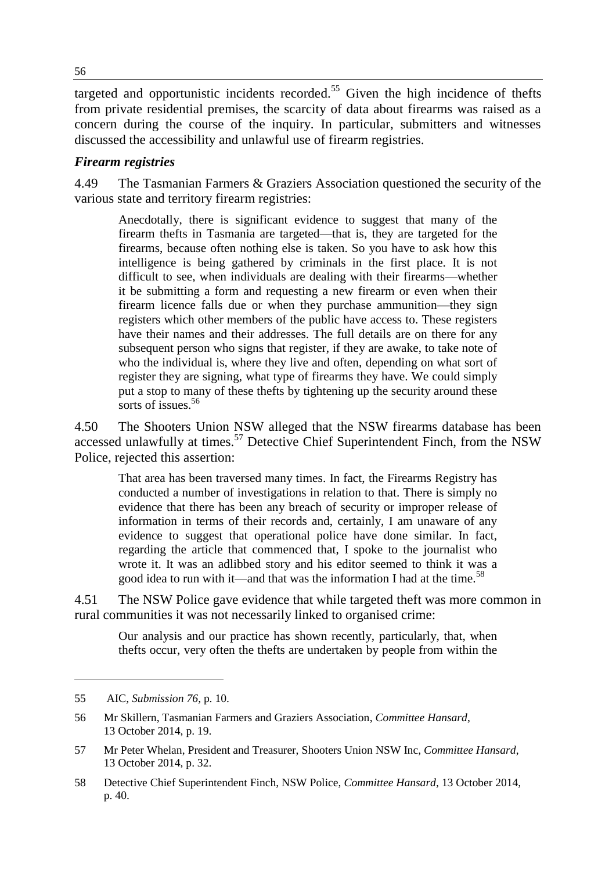targeted and opportunistic incidents recorded.<sup>55</sup> Given the high incidence of thefts from private residential premises, the scarcity of data about firearms was raised as a concern during the course of the inquiry. In particular, submitters and witnesses discussed the accessibility and unlawful use of firearm registries.

#### *Firearm registries*

4.49 The Tasmanian Farmers & Graziers Association questioned the security of the various state and territory firearm registries:

Anecdotally, there is significant evidence to suggest that many of the firearm thefts in Tasmania are targeted—that is, they are targeted for the firearms, because often nothing else is taken. So you have to ask how this intelligence is being gathered by criminals in the first place. It is not difficult to see, when individuals are dealing with their firearms—whether it be submitting a form and requesting a new firearm or even when their firearm licence falls due or when they purchase ammunition—they sign registers which other members of the public have access to. These registers have their names and their addresses. The full details are on there for any subsequent person who signs that register, if they are awake, to take note of who the individual is, where they live and often, depending on what sort of register they are signing, what type of firearms they have. We could simply put a stop to many of these thefts by tightening up the security around these sorts of issues.  $56$ 

4.50 The Shooters Union NSW alleged that the NSW firearms database has been accessed unlawfully at times.<sup>57</sup> Detective Chief Superintendent Finch, from the NSW Police, rejected this assertion:

That area has been traversed many times. In fact, the Firearms Registry has conducted a number of investigations in relation to that. There is simply no evidence that there has been any breach of security or improper release of information in terms of their records and, certainly, I am unaware of any evidence to suggest that operational police have done similar. In fact, regarding the article that commenced that, I spoke to the journalist who wrote it. It was an adlibbed story and his editor seemed to think it was a good idea to run with it—and that was the information I had at the time.<sup>58</sup>

4.51 The NSW Police gave evidence that while targeted theft was more common in rural communities it was not necessarily linked to organised crime:

Our analysis and our practice has shown recently, particularly, that, when thefts occur, very often the thefts are undertaken by people from within the

<sup>55</sup> AIC, *Submission 76*, p. 10.

<sup>56</sup> Mr Skillern, Tasmanian Farmers and Graziers Association, *Committee Hansard*, 13 October 2014, p. 19.

<sup>57</sup> Mr Peter Whelan, President and Treasurer, Shooters Union NSW Inc, *Committee Hansard*, 13 October 2014, p. 32.

<sup>58</sup> Detective Chief Superintendent Finch, NSW Police, *Committee Hansard*, 13 October 2014, p. 40.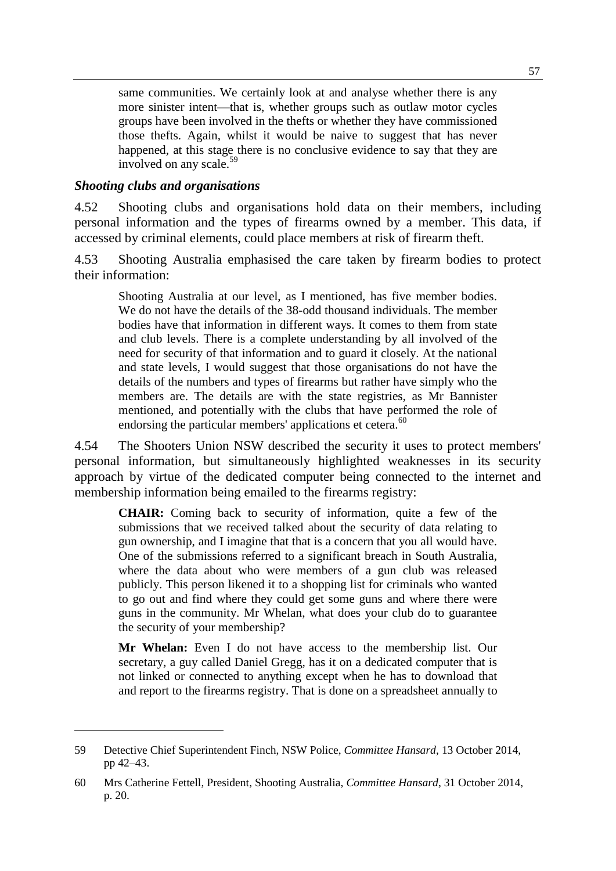same communities. We certainly look at and analyse whether there is any more sinister intent—that is, whether groups such as outlaw motor cycles groups have been involved in the thefts or whether they have commissioned those thefts. Again, whilst it would be naive to suggest that has never happened, at this stage there is no conclusive evidence to say that they are involved on any scale.<sup>59</sup>

#### *Shooting clubs and organisations*

 $\overline{a}$ 

4.52 Shooting clubs and organisations hold data on their members, including personal information and the types of firearms owned by a member. This data, if accessed by criminal elements, could place members at risk of firearm theft.

4.53 Shooting Australia emphasised the care taken by firearm bodies to protect their information:

Shooting Australia at our level, as I mentioned, has five member bodies. We do not have the details of the 38-odd thousand individuals. The member bodies have that information in different ways. It comes to them from state and club levels. There is a complete understanding by all involved of the need for security of that information and to guard it closely. At the national and state levels, I would suggest that those organisations do not have the details of the numbers and types of firearms but rather have simply who the members are. The details are with the state registries, as Mr Bannister mentioned, and potentially with the clubs that have performed the role of endorsing the particular members' applications et cetera.<sup>60</sup>

4.54 The Shooters Union NSW described the security it uses to protect members' personal information, but simultaneously highlighted weaknesses in its security approach by virtue of the dedicated computer being connected to the internet and membership information being emailed to the firearms registry:

**CHAIR:** Coming back to security of information, quite a few of the submissions that we received talked about the security of data relating to gun ownership, and I imagine that that is a concern that you all would have. One of the submissions referred to a significant breach in South Australia, where the data about who were members of a gun club was released publicly. This person likened it to a shopping list for criminals who wanted to go out and find where they could get some guns and where there were guns in the community. Mr Whelan, what does your club do to guarantee the security of your membership?

**Mr Whelan:** Even I do not have access to the membership list. Our secretary, a guy called Daniel Gregg, has it on a dedicated computer that is not linked or connected to anything except when he has to download that and report to the firearms registry. That is done on a spreadsheet annually to

<sup>59</sup> Detective Chief Superintendent Finch, NSW Police, *Committee Hansard*, 13 October 2014, pp 42–43.

<sup>60</sup> Mrs Catherine Fettell, President, Shooting Australia, *Committee Hansard*, 31 October 2014, p. 20.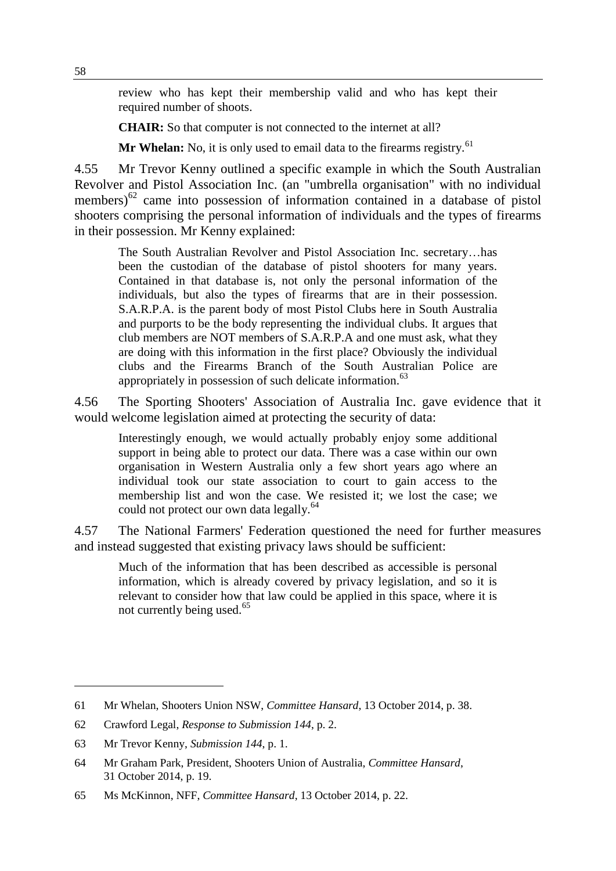review who has kept their membership valid and who has kept their required number of shoots.

**CHAIR:** So that computer is not connected to the internet at all?

Mr Whelan: No, it is only used to email data to the firearms registry.<sup>61</sup>

4.55 Mr Trevor Kenny outlined a specific example in which the South Australian Revolver and Pistol Association Inc. (an "umbrella organisation" with no individual members)<sup>62</sup> came into possession of information contained in a database of pistol shooters comprising the personal information of individuals and the types of firearms in their possession. Mr Kenny explained:

The South Australian Revolver and Pistol Association Inc. secretary…has been the custodian of the database of pistol shooters for many years. Contained in that database is, not only the personal information of the individuals, but also the types of firearms that are in their possession. S.A.R.P.A. is the parent body of most Pistol Clubs here in South Australia and purports to be the body representing the individual clubs. It argues that club members are NOT members of S.A.R.P.A and one must ask, what they are doing with this information in the first place? Obviously the individual clubs and the Firearms Branch of the South Australian Police are appropriately in possession of such delicate information.<sup>63</sup>

4.56 The Sporting Shooters' Association of Australia Inc. gave evidence that it would welcome legislation aimed at protecting the security of data:

Interestingly enough, we would actually probably enjoy some additional support in being able to protect our data. There was a case within our own organisation in Western Australia only a few short years ago where an individual took our state association to court to gain access to the membership list and won the case. We resisted it; we lost the case; we could not protect our own data legally.<sup>64</sup>

4.57 The National Farmers' Federation questioned the need for further measures and instead suggested that existing privacy laws should be sufficient:

Much of the information that has been described as accessible is personal information, which is already covered by privacy legislation, and so it is relevant to consider how that law could be applied in this space, where it is not currently being used.<sup>65</sup>

<sup>61</sup> Mr Whelan, Shooters Union NSW, *Committee Hansard*, 13 October 2014, p. 38.

<sup>62</sup> Crawford Legal, *Response to Submission 144*, p. 2.

<sup>63</sup> Mr Trevor Kenny, *Submission 144*, p. 1.

<sup>64</sup> Mr Graham Park, President, Shooters Union of Australia, *Committee Hansard*, 31 October 2014, p. 19.

<sup>65</sup> Ms McKinnon, NFF, *Committee Hansard*, 13 October 2014, p. 22.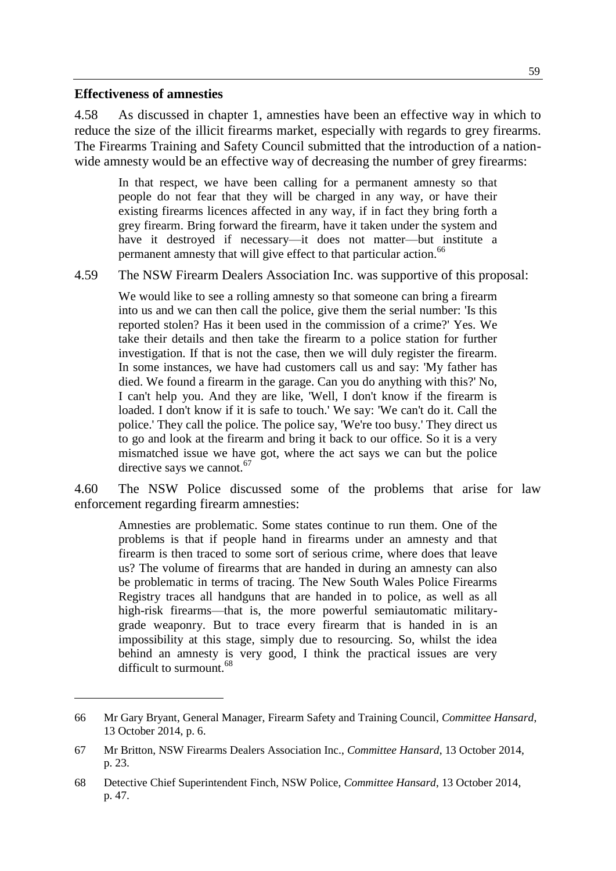#### **Effectiveness of amnesties**

 $\overline{a}$ 

4.58 As discussed in chapter 1, amnesties have been an effective way in which to reduce the size of the illicit firearms market, especially with regards to grey firearms. The Firearms Training and Safety Council submitted that the introduction of a nationwide amnesty would be an effective way of decreasing the number of grey firearms:

In that respect, we have been calling for a permanent amnesty so that people do not fear that they will be charged in any way, or have their existing firearms licences affected in any way, if in fact they bring forth a grey firearm. Bring forward the firearm, have it taken under the system and have it destroyed if necessary—it does not matter—but institute a permanent amnesty that will give effect to that particular action.<sup>66</sup>

4.59 The NSW Firearm Dealers Association Inc. was supportive of this proposal:

We would like to see a rolling amnesty so that someone can bring a firearm into us and we can then call the police, give them the serial number: 'Is this reported stolen? Has it been used in the commission of a crime?' Yes. We take their details and then take the firearm to a police station for further investigation. If that is not the case, then we will duly register the firearm. In some instances, we have had customers call us and say: 'My father has died. We found a firearm in the garage. Can you do anything with this?' No, I can't help you. And they are like, 'Well, I don't know if the firearm is loaded. I don't know if it is safe to touch.' We say: 'We can't do it. Call the police.' They call the police. The police say, 'We're too busy.' They direct us to go and look at the firearm and bring it back to our office. So it is a very mismatched issue we have got, where the act says we can but the police directive says we cannot. $67$ 

4.60 The NSW Police discussed some of the problems that arise for law enforcement regarding firearm amnesties:

Amnesties are problematic. Some states continue to run them. One of the problems is that if people hand in firearms under an amnesty and that firearm is then traced to some sort of serious crime, where does that leave us? The volume of firearms that are handed in during an amnesty can also be problematic in terms of tracing. The New South Wales Police Firearms Registry traces all handguns that are handed in to police, as well as all high-risk firearms—that is, the more powerful semiautomatic militarygrade weaponry. But to trace every firearm that is handed in is an impossibility at this stage, simply due to resourcing. So, whilst the idea behind an amnesty is very good, I think the practical issues are very difficult to surmount <sup>68</sup>

<sup>66</sup> Mr Gary Bryant, General Manager, Firearm Safety and Training Council, *Committee Hansard*, 13 October 2014, p. 6.

<sup>67</sup> Mr Britton, NSW Firearms Dealers Association Inc., *Committee Hansard*, 13 October 2014, p. 23.

<sup>68</sup> Detective Chief Superintendent Finch, NSW Police, *Committee Hansard*, 13 October 2014, p. 47.